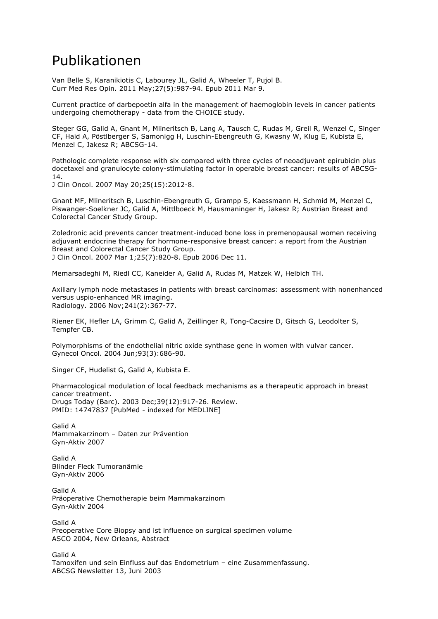## Publikationen

Van Belle S, Karanikiotis C, Labourey JL, Galid A, Wheeler T, Pujol B. Curr Med Res Opin. 2011 May;27(5):987-94. Epub 2011 Mar 9.

Current practice of darbepoetin alfa in the management of haemoglobin levels in cancer patients undergoing chemotherapy - data from the CHOICE study.

Steger GG, Galid A, Gnant M, Mlineritsch B, Lang A, Tausch C, Rudas M, Greil R, Wenzel C, Singer CF, Haid A, Pöstlberger S, Samonigg H, Luschin-Ebengreuth G, Kwasny W, Klug E, Kubista E, Menzel C, Jakesz R; ABCSG-14.

Pathologic complete response with six compared with three cycles of neoadjuvant epirubicin plus docetaxel and granulocyte colony-stimulating factor in operable breast cancer: results of ABCSG-14.

J Clin Oncol. 2007 May 20;25(15):2012-8.

Gnant MF, Mlineritsch B, Luschin-Ebengreuth G, Grampp S, Kaessmann H, Schmid M, Menzel C, Piswanger-Soelkner JC, Galid A, Mittlboeck M, Hausmaninger H, Jakesz R; Austrian Breast and Colorectal Cancer Study Group.

Zoledronic acid prevents cancer treatment-induced bone loss in premenopausal women receiving adjuvant endocrine therapy for hormone-responsive breast cancer: a report from the Austrian Breast and Colorectal Cancer Study Group.

J Clin Oncol. 2007 Mar 1;25(7):820-8. Epub 2006 Dec 11.

Memarsadeghi M, Riedl CC, Kaneider A, Galid A, Rudas M, Matzek W, Helbich TH.

Axillary lymph node metastases in patients with breast carcinomas: assessment with nonenhanced versus uspio-enhanced MR imaging. Radiology. 2006 Nov;241(2):367-77.

Riener EK, Hefler LA, Grimm C, Galid A, Zeillinger R, Tong-Cacsire D, Gitsch G, Leodolter S, Tempfer CB.

Polymorphisms of the endothelial nitric oxide synthase gene in women with vulvar cancer. Gynecol Oncol. 2004 Jun;93(3):686-90.

Singer CF, Hudelist G, Galid A, Kubista E.

Pharmacological modulation of local feedback mechanisms as a therapeutic approach in breast cancer treatment. Drugs Today (Barc). 2003 Dec;39(12):917-26. Review. PMID: 14747837 [PubMed - indexed for MEDLINE]

Galid A Mammakarzinom – Daten zur Prävention Gyn-Aktiv 2007

Galid A Blinder Fleck Tumoranämie Gyn-Aktiv 2006

Galid A Präoperative Chemotherapie beim Mammakarzinom Gyn-Aktiv 2004

Galid A Preoperative Core Biopsy and ist influence on surgical specimen volume ASCO 2004, New Orleans, Abstract

Galid A

Tamoxifen und sein Einfluss auf das Endometrium – eine Zusammenfassung. ABCSG Newsletter 13, Juni 2003